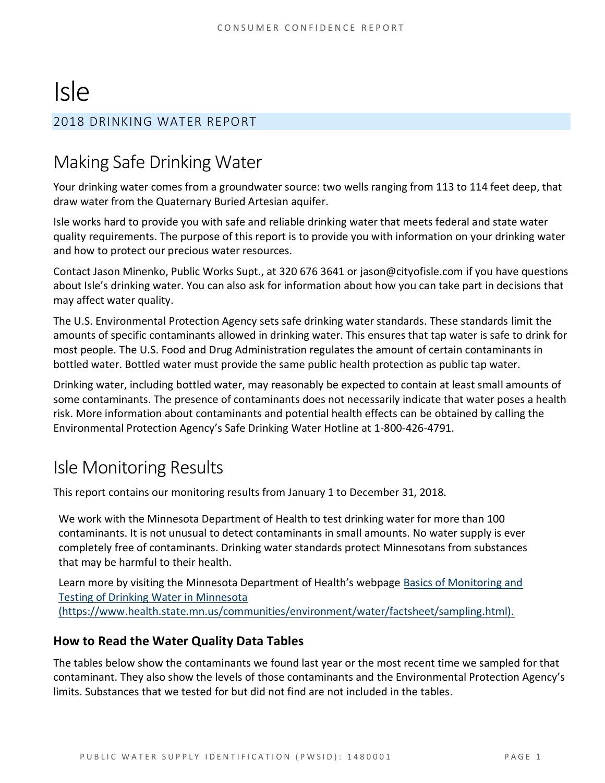# Isle

# 2018 DRINKING WATER REPORT

# Making Safe Drinking Water

Your drinking water comes from a groundwater source: two wells ranging from 113 to 114 feet deep, that draw water from the Quaternary Buried Artesian aquifer.

Isle works hard to provide you with safe and reliable drinking water that meets federal and state water quality requirements. The purpose of this report is to provide you with information on your drinking water and how to protect our precious water resources.

Contact Jason Minenko, Public Works Supt., at 320 676 3641 or jason@cityofisle.com if you have questions about Isle's drinking water. You can also ask for information about how you can take part in decisions that may affect water quality.

The U.S. Environmental Protection Agency sets safe drinking water standards. These standards limit the amounts of specific contaminants allowed in drinking water. This ensures that tap water is safe to drink for most people. The U.S. Food and Drug Administration regulates the amount of certain contaminants in bottled water. Bottled water must provide the same public health protection as public tap water.

Drinking water, including bottled water, may reasonably be expected to contain at least small amounts of some contaminants. The presence of contaminants does not necessarily indicate that water poses a health risk. More information about contaminants and potential health effects can be obtained by calling the Environmental Protection Agency's Safe Drinking Water Hotline at 1-800-426-4791.

# Isle Monitoring Results

This report contains our monitoring results from January 1 to December 31, 2018.

We work with the Minnesota Department of Health to test drinking water for more than 100 contaminants. It is not unusual to detect contaminants in small amounts. No water supply is ever completely free of contaminants. Drinking water standards protect Minnesotans from substances that may be harmful to their health.

Learn more by visiting the Minnesota Department of Health's webpage [Basics of Monitoring and](https://www.health.state.mn.us/communities/environment/water/factsheet/sampling.html)  [Testing of Drinking Water in Minnesota](https://www.health.state.mn.us/communities/environment/water/factsheet/sampling.html)  [\(https://www.health.state.mn.us/communities/environment/water/factsheet/sampling.html\).](https://www.health.state.mn.us/communities/environment/water/factsheet/sampling.html)

## **How to Read the Water Quality Data Tables**

The tables below show the contaminants we found last year or the most recent time we sampled for that contaminant. They also show the levels of those contaminants and the Environmental Protection Agency's limits. Substances that we tested for but did not find are not included in the tables.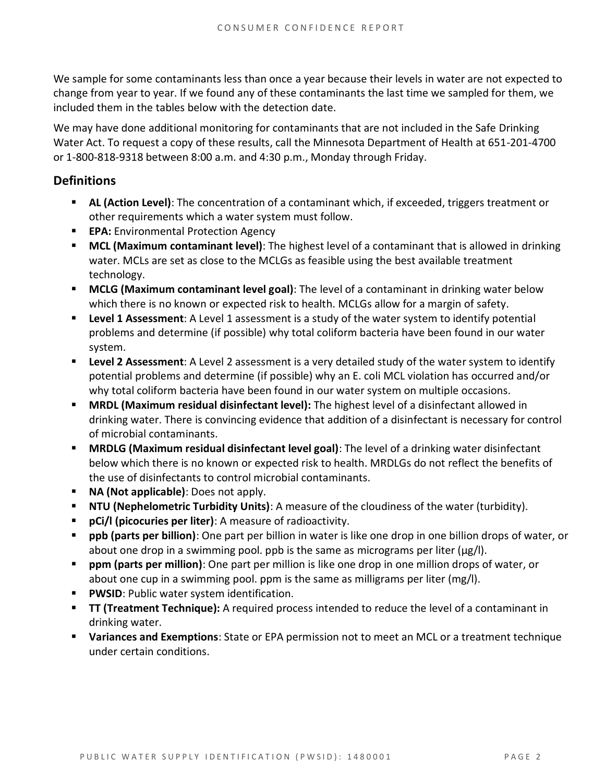We sample for some contaminants less than once a year because their levels in water are not expected to change from year to year. If we found any of these contaminants the last time we sampled for them, we included them in the tables below with the detection date.

We may have done additional monitoring for contaminants that are not included in the Safe Drinking Water Act. To request a copy of these results, call the Minnesota Department of Health at 651-201-4700 or 1-800-818-9318 between 8:00 a.m. and 4:30 p.m., Monday through Friday.

## **Definitions**

- **EXECT AL (Action Level):** The concentration of a contaminant which, if exceeded, triggers treatment or other requirements which a water system must follow.
- **EPA:** Environmental Protection Agency
- **MCL (Maximum contaminant level)**: The highest level of a contaminant that is allowed in drinking water. MCLs are set as close to the MCLGs as feasible using the best available treatment technology.
- **EXTED MCLG (Maximum contaminant level goal)**: The level of a contaminant in drinking water below which there is no known or expected risk to health. MCLGs allow for a margin of safety.
- **Example 1 Assessment:** A Level 1 assessment is a study of the water system to identify potential problems and determine (if possible) why total coliform bacteria have been found in our water system.
- **Example 2 Assessment:** A Level 2 assessment is a very detailed study of the water system to identify potential problems and determine (if possible) why an E. coli MCL violation has occurred and/or why total coliform bacteria have been found in our water system on multiple occasions.
- **MRDL (Maximum residual disinfectant level):** The highest level of a disinfectant allowed in drinking water. There is convincing evidence that addition of a disinfectant is necessary for control of microbial contaminants.
- **MRDLG (Maximum residual disinfectant level goal)**: The level of a drinking water disinfectant below which there is no known or expected risk to health. MRDLGs do not reflect the benefits of the use of disinfectants to control microbial contaminants.
- **NA (Not applicable)**: Does not apply.
- **NTU (Nephelometric Turbidity Units)**: A measure of the cloudiness of the water (turbidity).
- **pCi/l (picocuries per liter)**: A measure of radioactivity.
- **ppb (parts per billion)**: One part per billion in water is like one drop in one billion drops of water, or about one drop in a swimming pool. ppb is the same as micrograms per liter (μg/l).
- **ppm (parts per million)**: One part per million is like one drop in one million drops of water, or about one cup in a swimming pool. ppm is the same as milligrams per liter (mg/l).
- **PWSID:** Public water system identification.
- **TT (Treatment Technique):** A required process intended to reduce the level of a contaminant in drinking water.
- **Variances and Exemptions**: State or EPA permission not to meet an MCL or a treatment technique under certain conditions.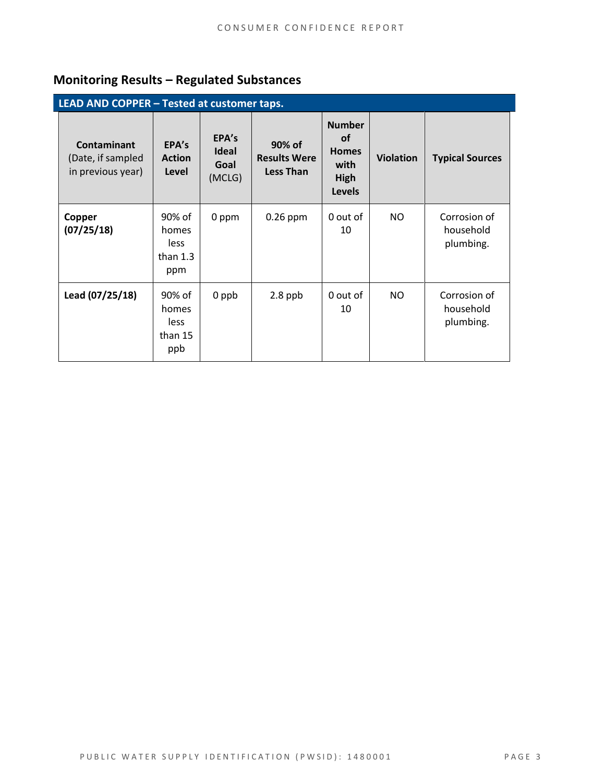# **Monitoring Results – Regulated Substances**

| LEAD AND COPPER - Tested at customer taps.                   |                                              |                                         |                                                   |                                                                             |                  |                                        |  |
|--------------------------------------------------------------|----------------------------------------------|-----------------------------------------|---------------------------------------------------|-----------------------------------------------------------------------------|------------------|----------------------------------------|--|
| <b>Contaminant</b><br>(Date, if sampled<br>in previous year) | EPA's<br><b>Action</b><br>Level              | EPA's<br><b>Ideal</b><br>Goal<br>(MCLG) | 90% of<br><b>Results Were</b><br><b>Less Than</b> | <b>Number</b><br><b>of</b><br><b>Homes</b><br>with<br>High<br><b>Levels</b> | <b>Violation</b> | <b>Typical Sources</b>                 |  |
| Copper<br>(07/25/18)                                         | 90% of<br>homes<br>less<br>than $1.3$<br>ppm | 0 ppm                                   | $0.26$ ppm                                        | 0 out of<br>10                                                              | NO.              | Corrosion of<br>household<br>plumbing. |  |
| Lead (07/25/18)                                              | 90% of<br>homes<br>less<br>than 15<br>ppb    | 0 ppb                                   | $2.8$ ppb                                         | 0 out of<br>10                                                              | NO.              | Corrosion of<br>household<br>plumbing. |  |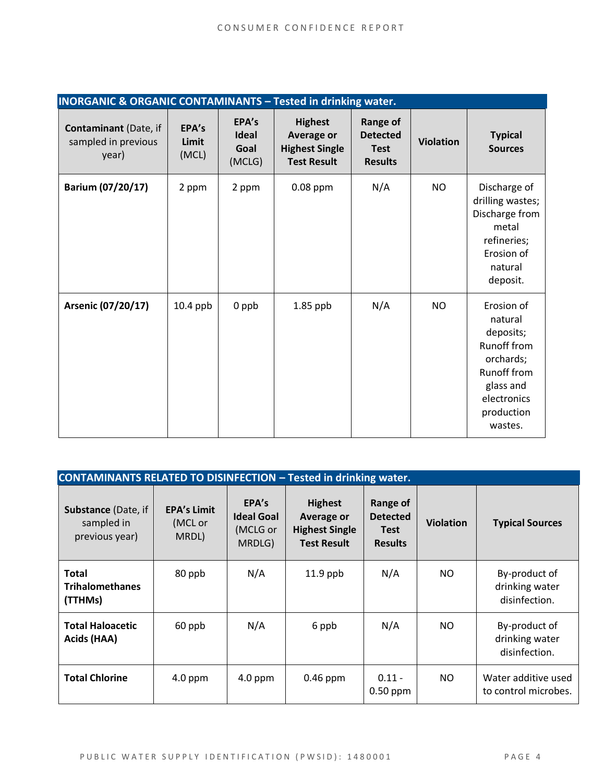| <b>INORGANIC &amp; ORGANIC CONTAMINANTS - Tested in drinking water.</b> |                         |                                         |                                                                                    |                                                                     |                  |                                                                                                                                    |
|-------------------------------------------------------------------------|-------------------------|-----------------------------------------|------------------------------------------------------------------------------------|---------------------------------------------------------------------|------------------|------------------------------------------------------------------------------------------------------------------------------------|
| <b>Contaminant</b> (Date, if<br>sampled in previous<br>year)            | EPA's<br>Limit<br>(MCL) | EPA's<br><b>Ideal</b><br>Goal<br>(MCLG) | <b>Highest</b><br><b>Average or</b><br><b>Highest Single</b><br><b>Test Result</b> | <b>Range of</b><br><b>Detected</b><br><b>Test</b><br><b>Results</b> | <b>Violation</b> | <b>Typical</b><br><b>Sources</b>                                                                                                   |
| Barium (07/20/17)                                                       | 2 ppm                   | 2 ppm                                   | $0.08$ ppm                                                                         | N/A                                                                 | <b>NO</b>        | Discharge of<br>drilling wastes;<br>Discharge from<br>metal<br>refineries;<br>Erosion of<br>natural<br>deposit.                    |
| Arsenic (07/20/17)                                                      | $10.4$ ppb              | $0$ ppb                                 | $1.85$ ppb                                                                         | N/A                                                                 | <b>NO</b>        | Erosion of<br>natural<br>deposits;<br>Runoff from<br>orchards;<br>Runoff from<br>glass and<br>electronics<br>production<br>wastes. |

| <b>CONTAMINANTS RELATED TO DISINFECTION - Tested in drinking water.</b> |                                        |                                                  |                                                                                    |                                                              |                  |                                                  |  |
|-------------------------------------------------------------------------|----------------------------------------|--------------------------------------------------|------------------------------------------------------------------------------------|--------------------------------------------------------------|------------------|--------------------------------------------------|--|
| Substance (Date, if<br>sampled in<br>previous year)                     | <b>EPA's Limit</b><br>(MCL or<br>MRDL) | EPA's<br><b>Ideal Goal</b><br>(MCLG or<br>MRDLG) | <b>Highest</b><br><b>Average or</b><br><b>Highest Single</b><br><b>Test Result</b> | Range of<br><b>Detected</b><br><b>Test</b><br><b>Results</b> | <b>Violation</b> | <b>Typical Sources</b>                           |  |
| <b>Total</b><br><b>Trihalomethanes</b><br>(TTHMs)                       | 80 ppb                                 | N/A                                              | $11.9$ ppb                                                                         | N/A                                                          | NO.              | By-product of<br>drinking water<br>disinfection. |  |
| <b>Total Haloacetic</b><br>Acids (HAA)                                  | 60 ppb                                 | N/A                                              | 6 ppb                                                                              | N/A                                                          | NO.              | By-product of<br>drinking water<br>disinfection. |  |
| <b>Total Chlorine</b>                                                   | $4.0$ ppm                              | $4.0$ ppm                                        | $0.46$ ppm                                                                         | $0.11 -$<br>$0.50$ ppm                                       | NO.              | Water additive used<br>to control microbes.      |  |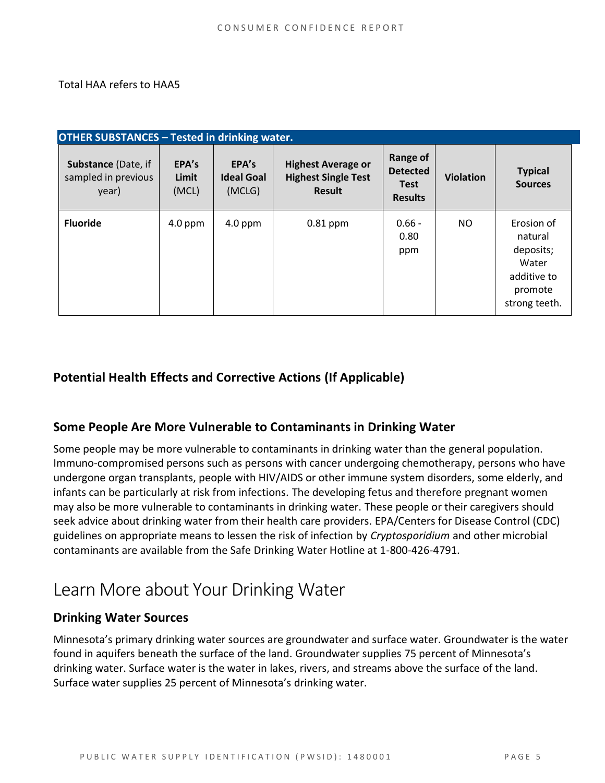#### Total HAA refers to HAA5

| <b>OTHER SUBSTANCES - Tested in drinking water.</b>        |                         |                                      |                                                                          |                                                              |                  |                                                                                        |  |
|------------------------------------------------------------|-------------------------|--------------------------------------|--------------------------------------------------------------------------|--------------------------------------------------------------|------------------|----------------------------------------------------------------------------------------|--|
| <b>Substance (Date, if</b><br>sampled in previous<br>year) | EPA's<br>Limit<br>(MCL) | EPA's<br><b>Ideal Goal</b><br>(MCLG) | <b>Highest Average or</b><br><b>Highest Single Test</b><br><b>Result</b> | Range of<br><b>Detected</b><br><b>Test</b><br><b>Results</b> | <b>Violation</b> | <b>Typical</b><br><b>Sources</b>                                                       |  |
| <b>Fluoride</b>                                            | $4.0$ ppm               | $4.0$ ppm                            | $0.81$ ppm                                                               | $0.66 -$<br>0.80<br>ppm                                      | NO.              | Erosion of<br>natural<br>deposits;<br>Water<br>additive to<br>promote<br>strong teeth. |  |

# **Potential Health Effects and Corrective Actions (If Applicable)**

## **Some People Are More Vulnerable to Contaminants in Drinking Water**

Some people may be more vulnerable to contaminants in drinking water than the general population. Immuno-compromised persons such as persons with cancer undergoing chemotherapy, persons who have undergone organ transplants, people with HIV/AIDS or other immune system disorders, some elderly, and infants can be particularly at risk from infections. The developing fetus and therefore pregnant women may also be more vulnerable to contaminants in drinking water. These people or their caregivers should seek advice about drinking water from their health care providers. EPA/Centers for Disease Control (CDC) guidelines on appropriate means to lessen the risk of infection by *Cryptosporidium* and other microbial contaminants are available from the Safe Drinking Water Hotline at 1-800-426-4791.

# Learn More about Your Drinking Water

## **Drinking Water Sources**

Minnesota's primary drinking water sources are groundwater and surface water. Groundwater is the water found in aquifers beneath the surface of the land. Groundwater supplies 75 percent of Minnesota's drinking water. Surface water is the water in lakes, rivers, and streams above the surface of the land. Surface water supplies 25 percent of Minnesota's drinking water.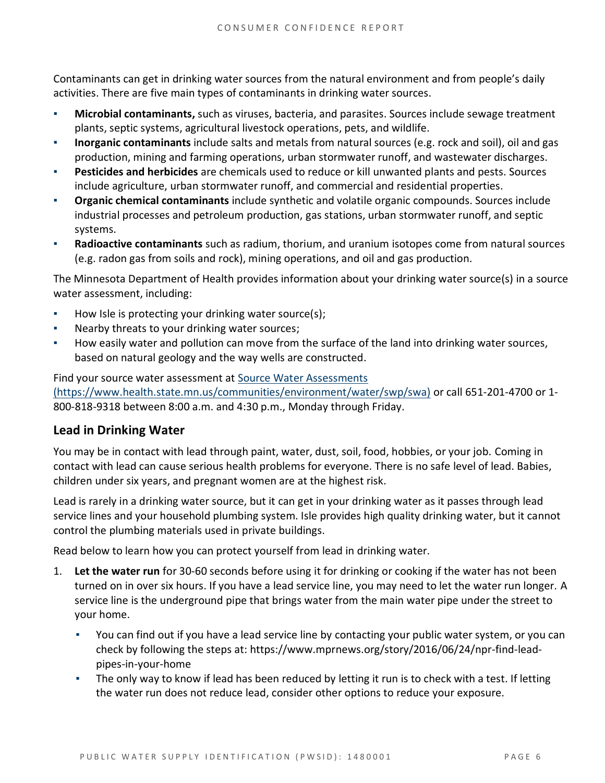Contaminants can get in drinking water sources from the natural environment and from people's daily activities. There are five main types of contaminants in drinking water sources.

- **Microbial contaminants,** such as viruses, bacteria, and parasites. Sources include sewage treatment plants, septic systems, agricultural livestock operations, pets, and wildlife.
- **Inorganic contaminants** include salts and metals from natural sources (e.g. rock and soil), oil and gas production, mining and farming operations, urban stormwater runoff, and wastewater discharges.
- **Pesticides and herbicides** are chemicals used to reduce or kill unwanted plants and pests. Sources include agriculture, urban stormwater runoff, and commercial and residential properties.
- **Organic chemical contaminants** include synthetic and volatile organic compounds. Sources include industrial processes and petroleum production, gas stations, urban stormwater runoff, and septic systems.
- Radioactive contaminants such as radium, thorium, and uranium isotopes come from natural sources (e.g. radon gas from soils and rock), mining operations, and oil and gas production.

The Minnesota Department of Health provides information about your drinking water source(s) in a source water assessment, including:

- How Isle is protecting your drinking water source(s);
- Nearby threats to your drinking water sources;
- How easily water and pollution can move from the surface of the land into drinking water sources, based on natural geology and the way wells are constructed.

Find your source water assessment at [Source Water Assessments](https://www.health.state.mn.us/communities/environment/water/swp/swa)  [\(https://www.health.state.mn.us/communities/environment/water/swp/swa\)](https://www.health.state.mn.us/communities/environment/water/swp/swa) or call 651-201-4700 or 1- 800-818-9318 between 8:00 a.m. and 4:30 p.m., Monday through Friday.

## **Lead in Drinking Water**

You may be in contact with lead through paint, water, dust, soil, food, hobbies, or your job. Coming in contact with lead can cause serious health problems for everyone. There is no safe level of lead. Babies, children under six years, and pregnant women are at the highest risk.

Lead is rarely in a drinking water source, but it can get in your drinking water as it passes through lead service lines and your household plumbing system. Isle provides high quality drinking water, but it cannot control the plumbing materials used in private buildings.

Read below to learn how you can protect yourself from lead in drinking water.

- 1. **Let the water run** for 30-60 seconds before using it for drinking or cooking if the water has not been turned on in over six hours. If you have a lead service line, you may need to let the water run longer. A service line is the underground pipe that brings water from the main water pipe under the street to your home.
	- You can find out if you have a lead service line by contacting your public water system, or you can check by following the steps at: [https://www.mprnews.org/story/2016/06/24/npr-find-lead](https://www.mprnews.org/story/2016/06/24/npr-find-lead-pipes-in-your-home)[pipes-in-your-home](https://www.mprnews.org/story/2016/06/24/npr-find-lead-pipes-in-your-home)
	- The only way to know if lead has been reduced by letting it run is to check with a test. If letting the water run does not reduce lead, consider other options to reduce your exposure.